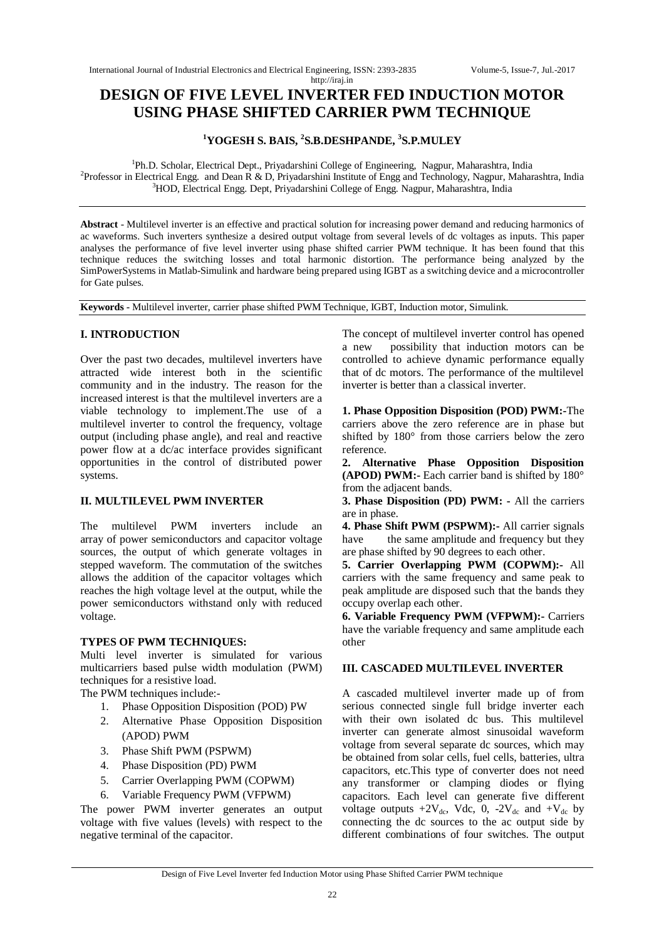# **DESIGN OF FIVE LEVEL INVERTER FED INDUCTION MOTOR USING PHASE SHIFTED CARRIER PWM TECHNIQUE**

<http://iraj.in>

# **<sup>1</sup>YOGESH S. BAIS, <sup>2</sup> S.B.DESHPANDE, 3 S.P.MULEY**

<sup>1</sup>Ph.D. Scholar, Electrical Dept., Priyadarshini College of Engineering, Nagpur, Maharashtra, India <sup>2</sup> Professor in Electrical Engg. and Dean R & D, Priyadarshini Institute of Engg and Technology, Nagpur, Maharashtra, India <sup>3</sup>HOD, Electrical Engg. Dept, Priyadarshini College of Engg. Nagpur, Maharashtra, India

**Abstract** - Multilevel inverter is an effective and practical solution for increasing power demand and reducing harmonics of ac waveforms. Such inverters synthesize a desired output voltage from several levels of dc voltages as inputs. This paper analyses the performance of five level inverter using phase shifted carrier PWM technique. It has been found that this technique reduces the switching losses and total harmonic distortion. The performance being analyzed by the SimPowerSystems in Matlab-Simulink and hardware being prepared using IGBT as a switching device and a microcontroller for Gate pulses.

**Keywords -** Multilevel inverter, carrier phase shifted PWM Technique, IGBT, Induction motor, Simulink.

# **I. INTRODUCTION**

Over the past two decades, multilevel inverters have attracted wide interest both in the scientific community and in the industry. The reason for the increased interest is that the multilevel inverters are a viable technology to implement.The use of a multilevel inverter to control the frequency, voltage output (including phase angle), and real and reactive power flow at a dc/ac interface provides significant opportunities in the control of distributed power systems.

# **II. MULTILEVEL PWM INVERTER**

The multilevel PWM inverters include an array of power semiconductors and capacitor voltage sources, the output of which generate voltages in stepped waveform. The commutation of the switches allows the addition of the capacitor voltages which reaches the high voltage level at the output, while the power semiconductors withstand only with reduced voltage.

# **TYPES OF PWM TECHNIQUES:**

Multi level inverter is simulated for various multicarriers based pulse width modulation (PWM) techniques for a resistive load.

The PWM techniques include:-

- 1. Phase Opposition Disposition (POD) PW
- 2. Alternative Phase Opposition Disposition (APOD) PWM
- 3. Phase Shift PWM (PSPWM)
- 4. Phase Disposition (PD) PWM
- 5. Carrier Overlapping PWM (COPWM)
- 6. Variable Frequency PWM (VFPWM)

The power PWM inverter generates an output voltage with five values (levels) with respect to the negative terminal of the capacitor.

The concept of multilevel inverter control has opened a new possibility that induction motors can be controlled to achieve dynamic performance equally that of dc motors. The performance of the multilevel inverter is better than a classical inverter.

**1. Phase Opposition Disposition (POD) PWM:-**The carriers above the zero reference are in phase but shifted by 180° from those carriers below the zero reference.

**2. Alternative Phase Opposition Disposition (APOD) PWM:-** Each carrier band is shifted by 180° from the adjacent bands.

**3. Phase Disposition (PD) PWM: -** All the carriers are in phase.

**4. Phase Shift PWM (PSPWM):-** All carrier signals have the same amplitude and frequency but they are phase shifted by 90 degrees to each other.

**5. Carrier Overlapping PWM (COPWM):-** All carriers with the same frequency and same peak to peak amplitude are disposed such that the bands they occupy overlap each other.

**6. Variable Frequency PWM (VFPWM):-** Carriers have the variable frequency and same amplitude each other

# **III. CASCADED MULTILEVEL INVERTER**

A cascaded multilevel inverter made up of from serious connected single full bridge inverter each with their own isolated dc bus. This multilevel inverter can generate almost sinusoidal waveform voltage from several separate dc sources, which may be obtained from solar cells, fuel cells, batteries, ultra capacitors, etc.This type of converter does not need any transformer or clamping diodes or flying capacitors. Each level can generate five different voltage outputs  $+2V_{dc}$ , Vdc, 0,  $-2V_{dc}$  and  $+V_{dc}$  by connecting the dc sources to the ac output side by different combinations of four switches. The output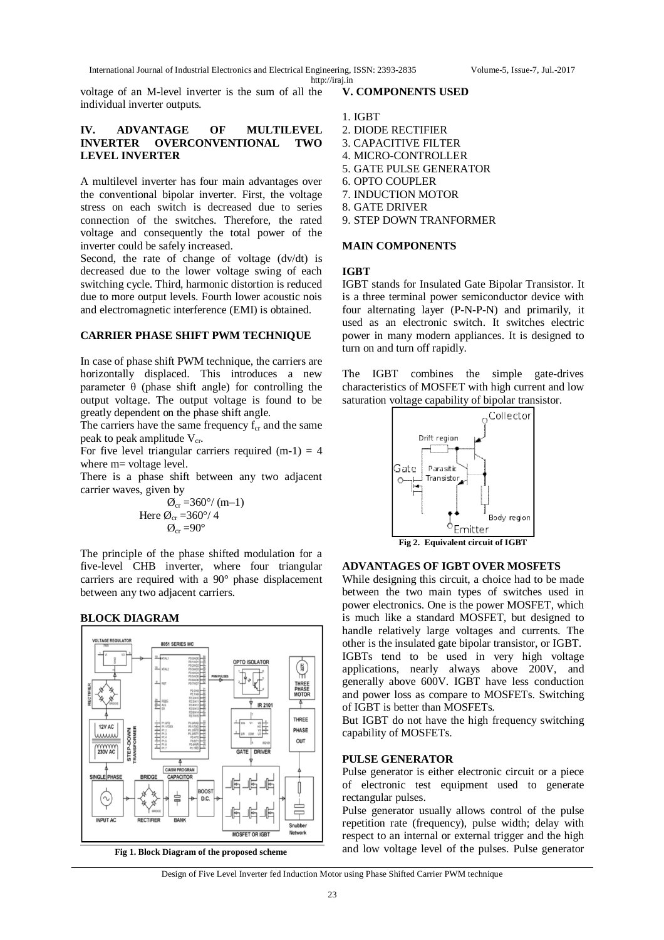voltage of an M-level inverter is the sum of all the individual inverter outputs.

# **IV. ADVANTAGE OF MULTILEVEL INVERTER OVERCONVENTIONAL TWO LEVEL INVERTER**

A multilevel inverter has four main advantages over the conventional bipolar inverter. First, the voltage stress on each switch is decreased due to series connection of the switches. Therefore, the rated voltage and consequently the total power of the inverter could be safely increased.

Second, the rate of change of voltage (dv/dt) is decreased due to the lower voltage swing of each switching cycle. Third, harmonic distortion is reduced due to more output levels. Fourth lower acoustic nois and electromagnetic interference (EMI) is obtained.

# **CARRIER PHASE SHIFT PWM TECHNIQUE**

In case of phase shift PWM technique, the carriers are horizontally displaced. This introduces a new parameter  $\theta$  (phase shift angle) for controlling the output voltage. The output voltage is found to be greatly dependent on the phase shift angle.

The carriers have the same frequency  $f_{cr}$  and the same peak to peak amplitude  $V_{cr}$ .

For five level triangular carriers required  $(m-1) = 4$ where m= voltage level.

There is a phase shift between any two adjacent carrier waves, given by

$$
\begin{array}{c}\n\varnothing_{\rm cr} = 360^{\circ} / \text{ (m--1)} \\
\text{Here } \varnothing_{\rm cr} = 360^{\circ} / \text{ 4} \\
\varnothing_{\rm cr} = 90^{\circ}\n\end{array}
$$

The principle of the phase shifted modulation for a five-level CHB inverter, where four triangular carriers are required with a 90° phase displacement between any two adjacent carriers.





**Fig 1. Block Diagram of the proposed scheme**

1. IGBT

2. DIODE RECTIFIER

**V. COMPONENTS USED**

- 3. CAPACITIVE FILTER
- 4. MICRO-CONTROLLER
- 5. GATE PULSE GENERATOR
- 6. OPTO COUPLER
- 7. INDUCTION MOTOR
- 8. GATE DRIVER
- 9. STEP DOWN TRANFORMER

#### **MAIN COMPONENTS**

#### **IGBT**

IGBT stands for Insulated Gate Bipolar Transistor. It is a three terminal power semiconductor device with four alternating layer (P-N-P-N) and primarily, it used as an electronic switch. It switches electric power in many modern appliances. It is designed to turn on and turn off rapidly.

The IGBT combines the simple gate-drives characteristics of MOSFET with high current and low saturation voltage capability of bipolar transistor.



# **ADVANTAGES OF IGBT OVER MOSFETS**

While designing this circuit, a choice had to be made between the two main types of switches used in power electronics. One is the power MOSFET, which is much like a standard MOSFET, but designed to handle relatively large voltages and currents. The other is the insulated gate bipolar transistor, or IGBT. IGBTs tend to be used in very high voltage applications, nearly always above 200V, and generally above 600V. IGBT have less conduction and power loss as compare to MOSFETs. Switching of IGBT is better than MOSFETs.

But IGBT do not have the high frequency switching capability of MOSFETs.

# **PULSE GENERATOR**

Pulse generator is either electronic circuit or a piece of electronic test equipment used to generate rectangular pulses.

Pulse generator usually allows control of the pulse repetition rate (frequency), pulse width; delay with respect to an internal or external trigger and the high and low voltage level of the pulses. Pulse generator

Design of Five Level Inverter fed Induction Motor using Phase Shifted Carrier PWM technique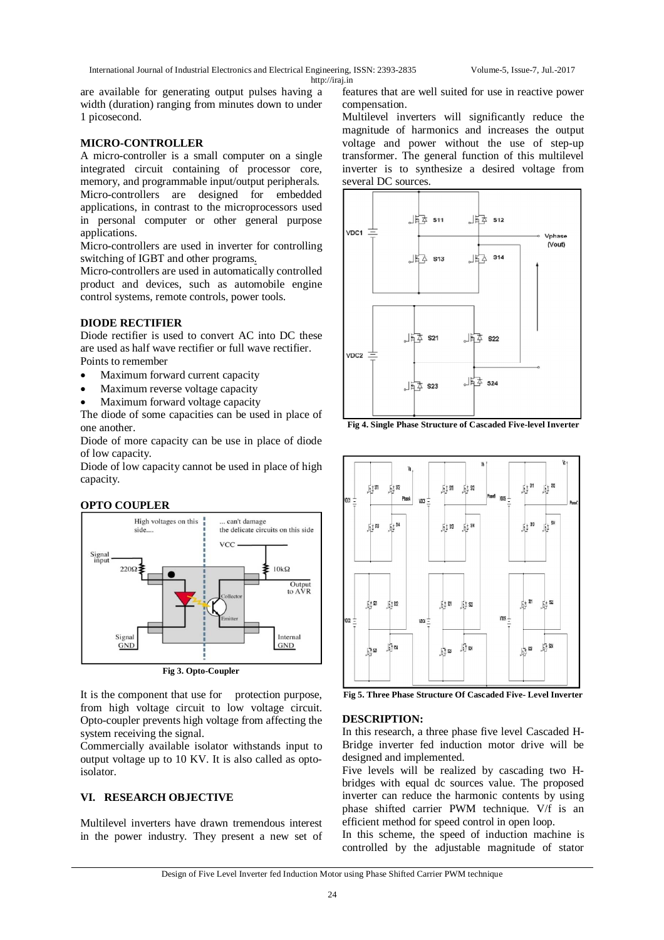are available for generating output pulses having a width (duration) ranging from minutes down to under 1 picosecond.

#### **MICRO-CONTROLLER**

A micro-controller is a small computer on a single integrated circuit containing of processor core, memory, and programmable input/output peripherals. Micro-controllers are designed for embedded applications, in contrast to the microprocessors used in personal computer or other general purpose applications.

Micro-controllers are used in inverter for controlling switching of IGBT and other programs.

Micro-controllers are used in automatically controlled product and devices, such as automobile engine control systems, remote controls, power tools.

# **DIODE RECTIFIER**

Diode rectifier is used to convert AC into DC these are used as half wave rectifier or full wave rectifier. Points to remember

- Maximum forward current capacity
- Maximum reverse voltage capacity
- Maximum forward voltage capacity

The diode of some capacities can be used in place of one another.

Diode of more capacity can be use in place of diode of low capacity.

Diode of low capacity cannot be used in place of high capacity.

# **OPTO COUPLER**



**Fig 3. Opto-Coupler**

It is the component that use for protection purpose, from high voltage circuit to low voltage circuit. Opto-coupler prevents high voltage from affecting the system receiving the signal.

Commercially available isolator withstands input to output voltage up to 10 KV. It is also called as optoisolator.

# **VI. RESEARCH OBJECTIVE**

Multilevel inverters have drawn tremendous interest in the power industry. They present a new set of features that are well suited for use in reactive power compensation.

Multilevel inverters will significantly reduce the magnitude of harmonics and increases the output voltage and power without the use of step-up transformer. The general function of this multilevel inverter is to synthesize a desired voltage from several DC sources.



**Fig 4. Single Phase Structure of Cascaded Five-level Inverter**



**Fig 5. Three Phase Structure Of Cascaded Five- Level Inverter**

#### **DESCRIPTION:**

In this research, a three phase five level Cascaded H-Bridge inverter fed induction motor drive will be designed and implemented.

Five levels will be realized by cascading two Hbridges with equal dc sources value. The proposed inverter can reduce the harmonic contents by using phase shifted carrier PWM technique. V/f is an efficient method for speed control in open loop.

In this scheme, the speed of induction machine is controlled by the adjustable magnitude of stator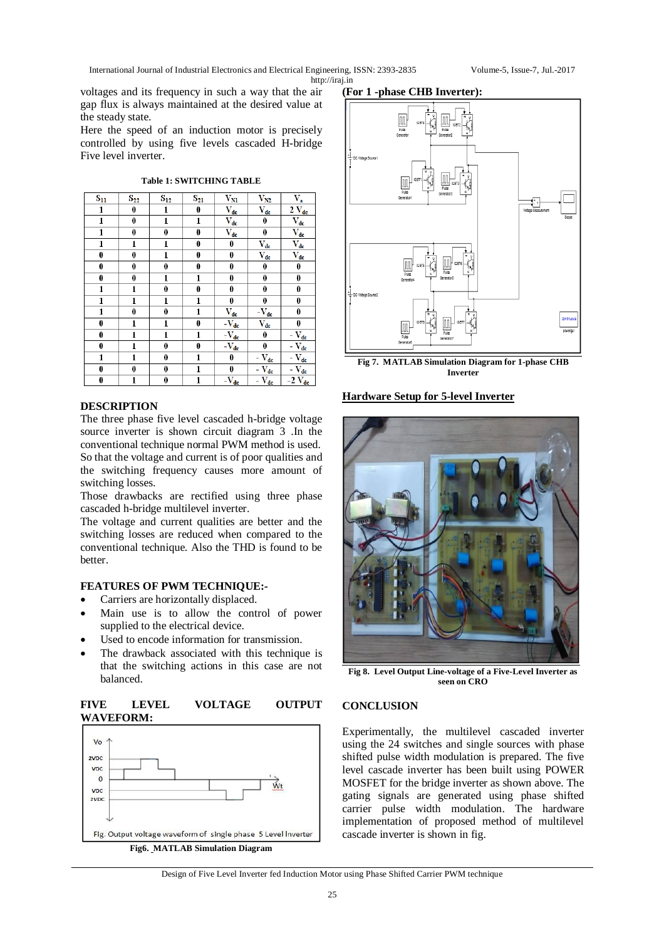voltages and its frequency in such a way that the air gap flux is always maintained at the desired value at the steady state.

Here the speed of an induction motor is precisely controlled by using five levels cascaded H-bridge Five level inverter.

**Table 1: SWITCHING TABLE**

| $S_{11}$     | $S_{22}$         | $S_{12}$     | $S_{21}$         | $\bar{V}_{\underline{M}}$                          | $\rm V_{N2}$                                             | $V_{\mathbf{a}}$                                      |
|--------------|------------------|--------------|------------------|----------------------------------------------------|----------------------------------------------------------|-------------------------------------------------------|
| 1            | 0                | 1            | 0                | $\bar{V}_{\underline{de}}$                         | $\bar{V}_{\underline{dc}}$                               | $2 V_{dc}$                                            |
| $\mathbf{1}$ | 0                | $\mathbf{1}$ | 1                | $\bar{V}_{\underline{dc}}$                         | 0                                                        | $\overline{\mathrm{V}}_{\underline{\mathrm{dc}}}$     |
| $\mathbf{1}$ | $\boldsymbol{0}$ | 0            | $\boldsymbol{0}$ | $\overline{\mathrm{V}}_{\underline{\mathrm{dc}}}$  | $\bf{0}$                                                 | $\bar{V}_{\underline{de}}$                            |
| 1            | $\mathbf{1}$     | 1            | 0                | 0                                                  | $V_{dc}$                                                 | $\bar{V}_{dc}$                                        |
| 0            | $\bf{0}$         | $\mathbf{1}$ | 0                | 0                                                  | $\rm V_{dc}$                                             | $V_{dc}$                                              |
| 0            | $\pmb{0}$        | 0            | 0                | 0                                                  | $\bf{0}$                                                 | 0                                                     |
| 0            | 0                | 1            | 1                | 0                                                  | 0                                                        | 0                                                     |
| 1            | 1                | 0            | 0                | 0                                                  | $\bf{0}$                                                 | 0                                                     |
| $\mathbf{1}$ | $\mathbf{1}$     | $\mathbf{1}$ | $\mathbf{1}$     | 0                                                  | 0                                                        | $\bf{0}$                                              |
| 1            | 0                | 0            | $\mathbf{1}$     | $\bar{V}_{\underline{dc}}$                         | $-\nabla_{\underline{d}\underline{c}}$                   | $\bf{0}$                                              |
| 0            | 1                | 1            | 0                | $-\overline{V}_{\underline{dc}}$                   | $\overline{V}_{\underline{dc}}$                          | 0                                                     |
| 0            | 1                | 1            | 1                | $-\overline{V_{dc}}$                               | $\bf{0}$                                                 | $-\overline{\mathbf{V}_{dc}}$                         |
| 0            | 1                | 0            | 0                | $-\overline{\mathrm{V}}_{\underline{\mathrm{dc}}}$ | 0                                                        | $-\overline{\mathbf{V}}_{\mathbf{d}\mathbf{c}}$       |
| 1            | 1                | 0            | 1                | 0                                                  | $-\nabla_{\underline{\text{dc}}}$                        | $-\overline{\mathbf{V}_{\underline{d}\underline{c}}}$ |
| 0            | $\bf{0}$         | 0            | 1                | 0                                                  | $-\overline{\mathbf{V}_{dc}}$                            | $-V_{dc}$                                             |
| 0            | 1                | 0            | 1                | $-\nabla_{\mathbf{d}\mathbf{c}}$                   | $-\nabla_{\underline{\mathbf{d}\underline{\mathbf{c}}}}$ | $-2$ $V_{dc}$                                         |

# **DESCRIPTION**

The three phase five level cascaded h-bridge voltage source inverter is shown circuit diagram 3 .In the conventional technique normal PWM method is used. So that the voltage and current is of poor qualities and the switching frequency causes more amount of switching losses.

Those drawbacks are rectified using three phase cascaded h-bridge multilevel inverter.

The voltage and current qualities are better and the switching losses are reduced when compared to the conventional technique. Also the THD is found to be better.

# **FEATURES OF PWM TECHNIQUE:-**

- Carriers are horizontally displaced.
- Main use is to allow the control of power supplied to the electrical device.
- Used to encode information for transmission.
- The drawback associated with this technique is that the switching actions in this case are not balanced.



# **(For 1 -phase CHB Inverter):**



**Fig 7. MATLAB Simulation Diagram for 1-phase CHB Inverter**

# **Hardware Setup for 5-level Inverter**



**Fig 8. Level Output Line-voltage of a Five-Level Inverter as seen on CRO**

# **CONCLUSION**

Experimentally, the multilevel cascaded inverter using the 24 switches and single sources with phase shifted pulse width modulation is prepared. The five level cascade inverter has been built using POWER MOSFET for the bridge inverter as shown above. The gating signals are generated using phase shifted carrier pulse width modulation. The hardware implementation of proposed method of multilevel cascade inverter is shown in fig.

Design of Five Level Inverter fed Induction Motor using Phase Shifted Carrier PWM technique

**FIVE LEVEL VOLTAGE OUTPUT WAVEFORM:**